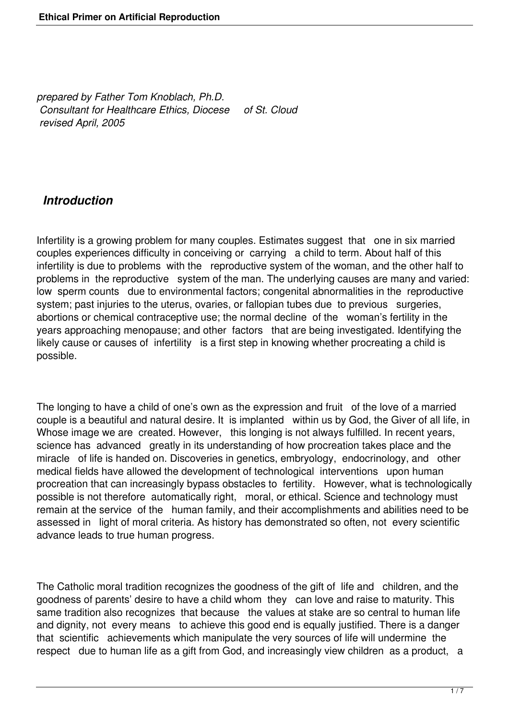*prepared by Father Tom Knoblach, Ph.D. Consultant for Healthcare Ethics, Diocese of St. Cloud revised April, 2005* 

### *Introduction*

Infertility is a growing problem for many couples. Estimates suggest that one in six married couples experiences difficulty in conceiving or carrying a child to term. About half of this infertility is due to problems with the reproductive system of the woman, and the other half to problems in the reproductive system of the man. The underlying causes are many and varied: low sperm counts due to environmental factors; congenital abnormalities in the reproductive system; past injuries to the uterus, ovaries, or fallopian tubes due to previous surgeries, abortions or chemical contraceptive use; the normal decline of the woman's fertility in the years approaching menopause; and other factors that are being investigated. Identifying the likely cause or causes of infertility is a first step in knowing whether procreating a child is possible.

The longing to have a child of one's own as the expression and fruit of the love of a married couple is a beautiful and natural desire. It is implanted within us by God, the Giver of all life, in Whose image we are created. However, this longing is not always fulfilled. In recent years, science has advanced greatly in its understanding of how procreation takes place and the miracle of life is handed on. Discoveries in genetics, embryology, endocrinology, and other medical fields have allowed the development of technological interventions upon human procreation that can increasingly bypass obstacles to fertility. However, what is technologically possible is not therefore automatically right, moral, or ethical. Science and technology must remain at the service of the human family, and their accomplishments and abilities need to be assessed in light of moral criteria. As history has demonstrated so often, not every scientific advance leads to true human progress.

The Catholic moral tradition recognizes the goodness of the gift of life and children, and the goodness of parents' desire to have a child whom they can love and raise to maturity. This same tradition also recognizes that because the values at stake are so central to human life and dignity, not every means to achieve this good end is equally justified. There is a danger that scientific achievements which manipulate the very sources of life will undermine the respect due to human life as a gift from God, and increasingly view children as a product, a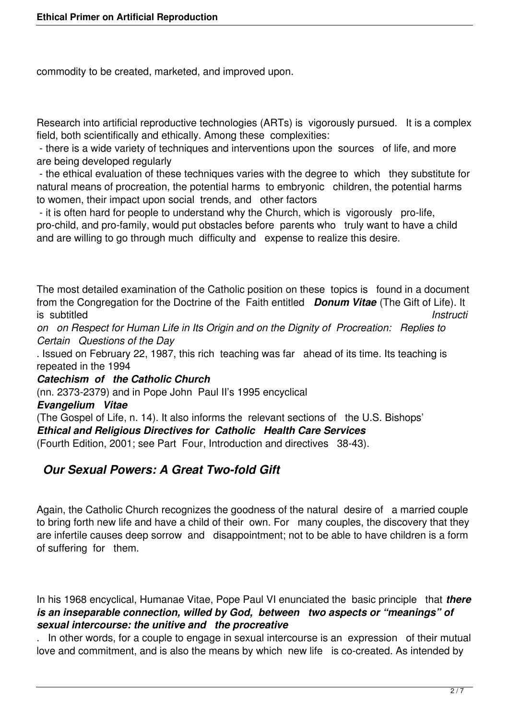commodity to be created, marketed, and improved upon.

Research into artificial reproductive technologies (ARTs) is vigorously pursued. It is a complex field, both scientifically and ethically. Among these complexities:

 - there is a wide variety of techniques and interventions upon the sources of life, and more are being developed regularly

 - the ethical evaluation of these techniques varies with the degree to which they substitute for natural means of procreation, the potential harms to embryonic children, the potential harms to women, their impact upon social trends, and other factors

 - it is often hard for people to understand why the Church, which is vigorously pro-life, pro-child, and pro-family, would put obstacles before parents who truly want to have a child and are willing to go through much difficulty and expense to realize this desire.

The most detailed examination of the Catholic position on these topics is found in a document from the Congregation for the Doctrine of the Faith entitled *Donum Vitae* (The Gift of Life). It is subtitled *Instructi*

*on on Respect for Human Life in Its Origin and on the Dignity of Procreation: Replies to Certain Questions of the Day*

. Issued on February 22, 1987, this rich teaching was far ahead of its time. Its teaching is repeated in the 1994

*Catechism of the Catholic Church*

(nn. 2373-2379) and in Pope John Paul II's 1995 encyclical

*Evangelium Vitae*

(The Gospel of Life, n. 14). It also informs the relevant sections of the U.S. Bishops' *Ethical and Religious Directives for Catholic Health Care Services* (Fourth Edition, 2001; see Part Four, Introduction and directives 38-43).

### *Our Sexual Powers: A Great Two-fold Gift*

Again, the Catholic Church recognizes the goodness of the natural desire of a married couple to bring forth new life and have a child of their own. For many couples, the discovery that they are infertile causes deep sorrow and disappointment; not to be able to have children is a form of suffering for them.

In his 1968 encyclical, Humanae Vitae, Pope Paul VI enunciated the basic principle that *there is an inseparable connection, willed by God, between two aspects or "meanings" of sexual intercourse: the unitive and the procreative*

. In other words, for a couple to engage in sexual intercourse is an expression of their mutual love and commitment, and is also the means by which new life is co-created. As intended by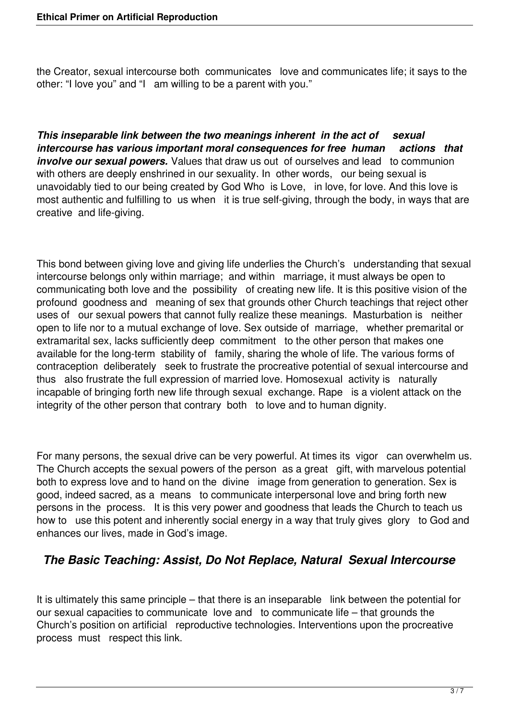the Creator, sexual intercourse both communicates love and communicates life; it says to the other: "I love you" and "I am willing to be a parent with you."

*This inseparable link between the two meanings inherent in the act of sexual intercourse has various important moral consequences for free human actions that involve our sexual powers.* Values that draw us out of ourselves and lead to communion with others are deeply enshrined in our sexuality. In other words, our being sexual is unavoidably tied to our being created by God Who is Love, in love, for love. And this love is most authentic and fulfilling to us when it is true self-giving, through the body, in ways that are creative and life-giving.

This bond between giving love and giving life underlies the Church's understanding that sexual intercourse belongs only within marriage; and within marriage, it must always be open to communicating both love and the possibility of creating new life. It is this positive vision of the profound goodness and meaning of sex that grounds other Church teachings that reject other uses of our sexual powers that cannot fully realize these meanings. Masturbation is neither open to life nor to a mutual exchange of love. Sex outside of marriage, whether premarital or extramarital sex, lacks sufficiently deep commitment to the other person that makes one available for the long-term stability of family, sharing the whole of life. The various forms of contraception deliberately seek to frustrate the procreative potential of sexual intercourse and thus also frustrate the full expression of married love. Homosexual activity is naturally incapable of bringing forth new life through sexual exchange. Rape is a violent attack on the integrity of the other person that contrary both to love and to human dignity.

For many persons, the sexual drive can be very powerful. At times its vigor can overwhelm us. The Church accepts the sexual powers of the person as a great gift, with marvelous potential both to express love and to hand on the divine image from generation to generation. Sex is good, indeed sacred, as a means to communicate interpersonal love and bring forth new persons in the process. It is this very power and goodness that leads the Church to teach us how to use this potent and inherently social energy in a way that truly gives glory to God and enhances our lives, made in God's image.

# *The Basic Teaching: Assist, Do Not Replace, Natural Sexual Intercourse*

It is ultimately this same principle – that there is an inseparable link between the potential for our sexual capacities to communicate love and to communicate life – that grounds the Church's position on artificial reproductive technologies. Interventions upon the procreative process must respect this link.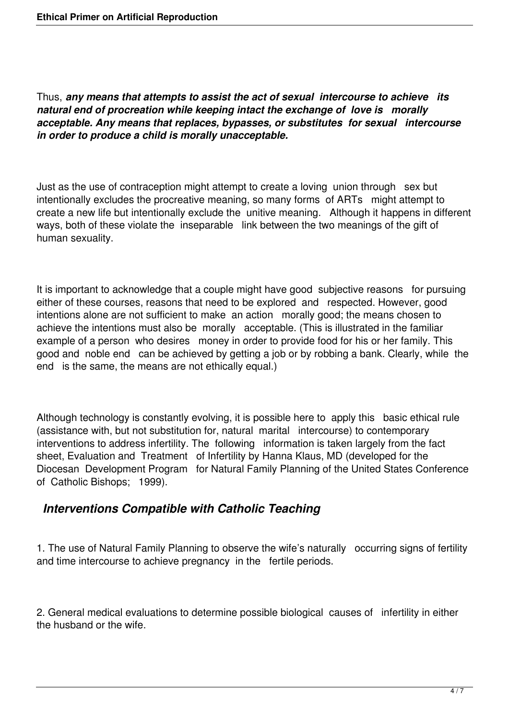Thus, *any means that attempts to assist the act of sexual intercourse to achieve its natural end of procreation while keeping intact the exchange of love is morally acceptable. Any means that replaces, bypasses, or substitutes for sexual intercourse in order to produce a child is morally unacceptable.*

Just as the use of contraception might attempt to create a loving union through sex but intentionally excludes the procreative meaning, so many forms of ARTs might attempt to create a new life but intentionally exclude the unitive meaning. Although it happens in different ways, both of these violate the inseparable link between the two meanings of the gift of human sexuality.

It is important to acknowledge that a couple might have good subjective reasons for pursuing either of these courses, reasons that need to be explored and respected. However, good intentions alone are not sufficient to make an action morally good; the means chosen to achieve the intentions must also be morally acceptable. (This is illustrated in the familiar example of a person who desires money in order to provide food for his or her family. This good and noble end can be achieved by getting a job or by robbing a bank. Clearly, while the end is the same, the means are not ethically equal.)

Although technology is constantly evolving, it is possible here to apply this basic ethical rule (assistance with, but not substitution for, natural marital intercourse) to contemporary interventions to address infertility. The following information is taken largely from the fact sheet, Evaluation and Treatment of Infertility by Hanna Klaus, MD (developed for the Diocesan Development Program for Natural Family Planning of the United States Conference of Catholic Bishops; 1999).

# *Interventions Compatible with Catholic Teaching*

1. The use of Natural Family Planning to observe the wife's naturally occurring signs of fertility and time intercourse to achieve pregnancy in the fertile periods.

2. General medical evaluations to determine possible biological causes of infertility in either the husband or the wife.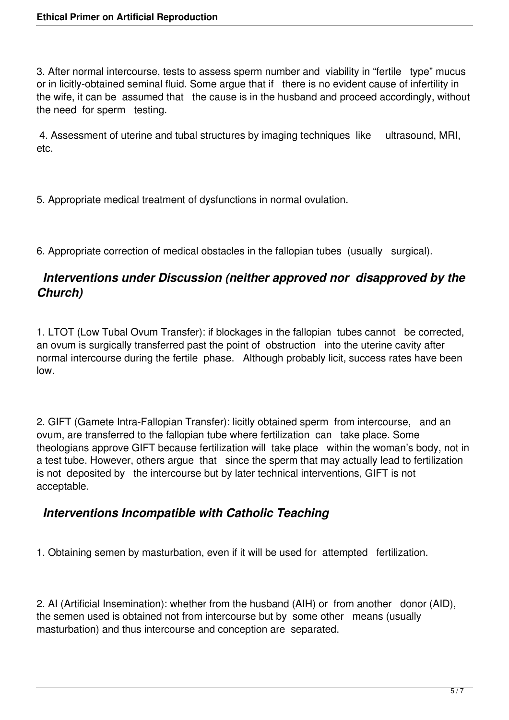3. After normal intercourse, tests to assess sperm number and viability in "fertile type" mucus or in licitly-obtained seminal fluid. Some argue that if there is no evident cause of infertility in the wife, it can be assumed that the cause is in the husband and proceed accordingly, without the need for sperm testing.

 4. Assessment of uterine and tubal structures by imaging techniques like ultrasound, MRI, etc.

5. Appropriate medical treatment of dysfunctions in normal ovulation.

6. Appropriate correction of medical obstacles in the fallopian tubes (usually surgical).

### *Interventions under Discussion (neither approved nor disapproved by the Church)*

1. LTOT (Low Tubal Ovum Transfer): if blockages in the fallopian tubes cannot be corrected, an ovum is surgically transferred past the point of obstruction into the uterine cavity after normal intercourse during the fertile phase. Although probably licit, success rates have been low.

2. GIFT (Gamete Intra-Fallopian Transfer): licitly obtained sperm from intercourse, and an ovum, are transferred to the fallopian tube where fertilization can take place. Some theologians approve GIFT because fertilization will take place within the woman's body, not in a test tube. However, others argue that since the sperm that may actually lead to fertilization is not deposited by the intercourse but by later technical interventions, GIFT is not acceptable.

### *Interventions Incompatible with Catholic Teaching*

1. Obtaining semen by masturbation, even if it will be used for attempted fertilization.

2. AI (Artificial Insemination): whether from the husband (AIH) or from another donor (AID), the semen used is obtained not from intercourse but by some other means (usually masturbation) and thus intercourse and conception are separated.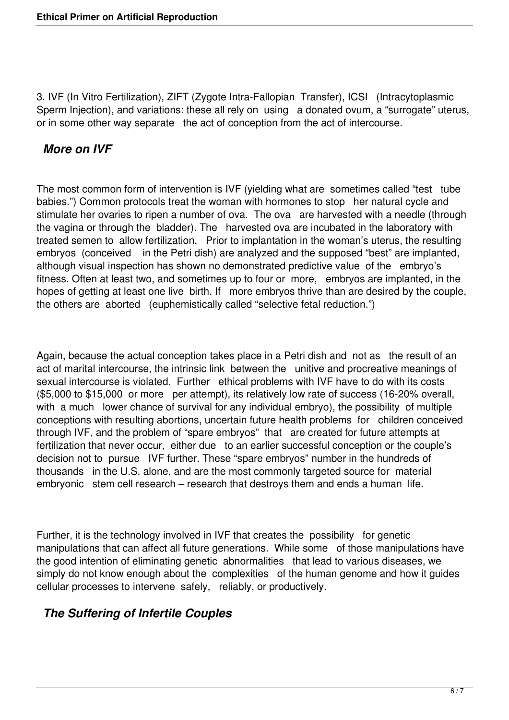3. IVF (In Vitro Fertilization), ZIFT (Zygote Intra-Fallopian Transfer), ICSI (Intracytoplasmic Sperm Injection), and variations: these all rely on using a donated ovum, a "surrogate" uterus, or in some other way separate the act of conception from the act of intercourse.

### *More on IVF*

The most common form of intervention is IVF (yielding what are sometimes called "test tube babies.") Common protocols treat the woman with hormones to stop her natural cycle and stimulate her ovaries to ripen a number of ova. The ova are harvested with a needle (through the vagina or through the bladder). The harvested ova are incubated in the laboratory with treated semen to allow fertilization. Prior to implantation in the woman's uterus, the resulting embryos (conceived in the Petri dish) are analyzed and the supposed "best" are implanted, although visual inspection has shown no demonstrated predictive value of the embryo's fitness. Often at least two, and sometimes up to four or more, embryos are implanted, in the hopes of getting at least one live birth. If more embryos thrive than are desired by the couple, the others are aborted (euphemistically called "selective fetal reduction.")

Again, because the actual conception takes place in a Petri dish and not as the result of an act of marital intercourse, the intrinsic link between the unitive and procreative meanings of sexual intercourse is violated. Further ethical problems with IVF have to do with its costs (\$5,000 to \$15,000 or more per attempt), its relatively low rate of success (16-20% overall, with a much lower chance of survival for any individual embryo), the possibility of multiple conceptions with resulting abortions, uncertain future health problems for children conceived through IVF, and the problem of "spare embryos" that are created for future attempts at fertilization that never occur, either due to an earlier successful conception or the couple's decision not to pursue IVF further. These "spare embryos" number in the hundreds of thousands in the U.S. alone, and are the most commonly targeted source for material embryonic stem cell research – research that destroys them and ends a human life.

Further, it is the technology involved in IVF that creates the possibility for genetic manipulations that can affect all future generations. While some of those manipulations have the good intention of eliminating genetic abnormalities that lead to various diseases, we simply do not know enough about the complexities of the human genome and how it guides cellular processes to intervene safely, reliably, or productively.

# *The Suffering of Infertile Couples*